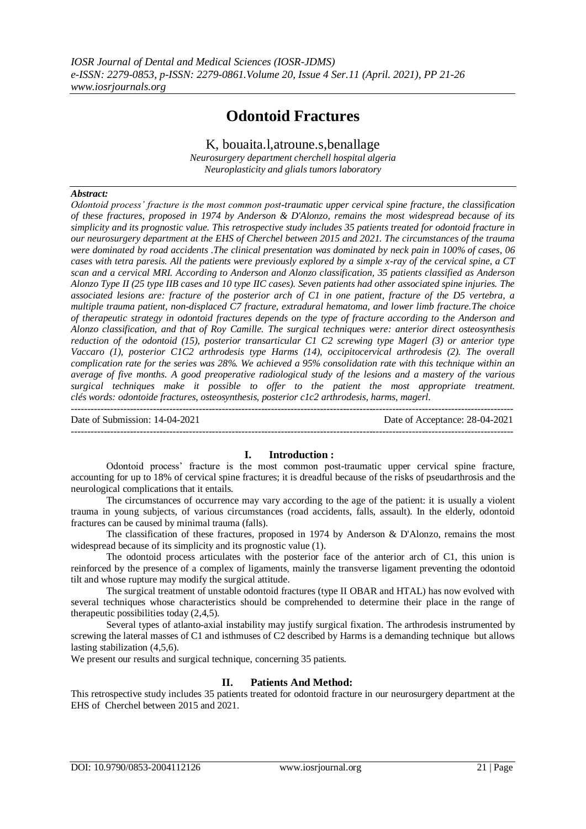# **Odontoid Fractures**

K, bouaita.l,atroune.s,benallage *Neurosurgery department cherchell hospital algeria Neuroplasticity and glials tumors laboratory*

### *Abstract:*

*Odontoid process' fracture is the most common post-traumatic upper cervical spine fracture, the classification of these fractures, proposed in 1974 by Anderson & D'Alonzo, remains the most widespread because of its simplicity and its prognostic value. This retrospective study includes 35 patients treated for odontoid fracture in our neurosurgery department at the EHS of Cherchel between 2015 and 2021. The circumstances of the trauma were dominated by road accidents .The clinical presentation was dominated by neck pain in 100% of cases, 06 cases with tetra paresis. All the patients were previously explored by a simple x-ray of the cervical spine, a CT scan and a cervical MRI. According to Anderson and Alonzo classification, 35 patients classified as Anderson Alonzo Type II (25 type IIB cases and 10 type IIC cases). Seven patients had other associated spine injuries. The associated lesions are: fracture of the posterior arch of C1 in one patient, fracture of the D5 vertebra, a multiple trauma patient, non-displaced C7 fracture, extradural hematoma, and lower limb fracture.The choice of therapeutic strategy in odontoid fractures depends on the type of fracture according to the Anderson and Alonzo classification, and that of Roy Camille. The surgical techniques were: anterior direct osteosynthesis reduction of the odontoid (15), posterior transarticular C1 C2 screwing type Magerl (3) or anterior type Vaccaro (1), posterior C1C2 arthrodesis type Harms (14), occipitocervical arthrodesis (2). The overall complication rate for the series was 28%. We achieved a 95% consolidation rate with this technique within an average of five months. A good preoperative radiological study of the lesions and a mastery of the various surgical techniques make it possible to offer to the patient the most appropriate treatment. clés words: odontoide fractures, osteosynthesis, posterior c1c2 arthrodesis, harms, magerl.* ---------------------------------------------------------------------------------------------------------------------------------------

Date of Submission: 14-04-2021 Date of Acceptance: 28-04-2021

# **I. Introduction :**

---------------------------------------------------------------------------------------------------------------------------------------

Odontoid process' fracture is the most common post-traumatic upper cervical spine fracture, accounting for up to 18% of cervical spine fractures; it is dreadful because of the risks of pseudarthrosis and the neurological complications that it entails.

The circumstances of occurrence may vary according to the age of the patient: it is usually a violent trauma in young subjects, of various circumstances (road accidents, falls, assault). In the elderly, odontoid fractures can be caused by minimal trauma (falls).

The classification of these fractures, proposed in 1974 by Anderson & D'Alonzo, remains the most widespread because of its simplicity and its prognostic value (1).

The odontoid process articulates with the posterior face of the anterior arch of C1, this union is reinforced by the presence of a complex of ligaments, mainly the transverse ligament preventing the odontoid tilt and whose rupture may modify the surgical attitude.

The surgical treatment of unstable odontoid fractures (type II OBAR and HTAL) has now evolved with several techniques whose characteristics should be comprehended to determine their place in the range of therapeutic possibilities today (2,4,5).

Several types of atlanto-axial instability may justify surgical fixation. The arthrodesis instrumented by screwing the lateral masses of C1 and isthmuses of C2 described by Harms is a demanding technique but allows lasting stabilization (4,5,6).

We present our results and surgical technique, concerning 35 patients.

### **II. Patients And Method:**

This retrospective study includes 35 patients treated for odontoid fracture in our neurosurgery department at the EHS of Cherchel between 2015 and 2021.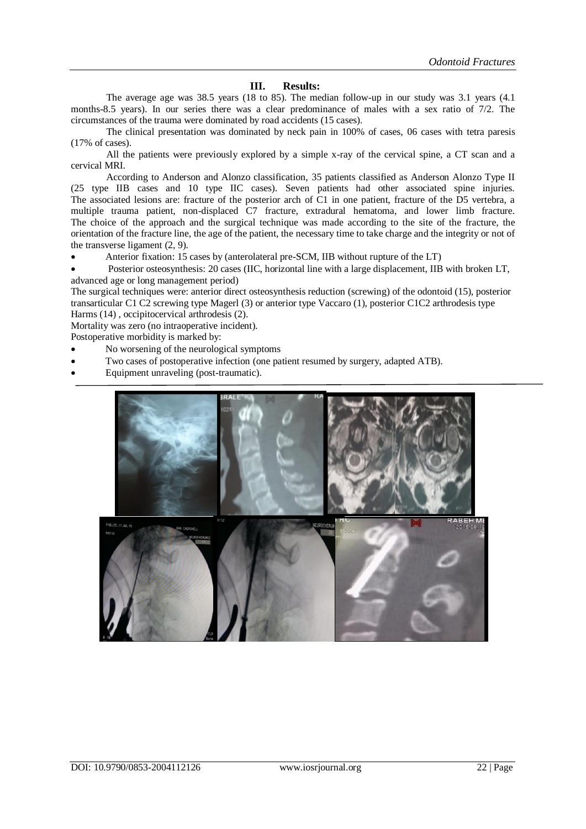# **III. Results:**

The average age was 38.5 years (18 to 85). The median follow-up in our study was 3.1 years (4.1 months-8.5 years). In our series there was a clear predominance of males with a sex ratio of 7/2. The circumstances of the trauma were dominated by road accidents (15 cases).

The clinical presentation was dominated by neck pain in 100% of cases, 06 cases with tetra paresis (17% of cases).

All the patients were previously explored by a simple x-ray of the cervical spine, a CT scan and a cervical MRI.

According to Anderson and Alonzo classification, 35 patients classified as Anderson Alonzo Type II (25 type IIB cases and 10 type IIC cases). Seven patients had other associated spine injuries. The associated lesions are: fracture of the posterior arch of C1 in one patient, fracture of the D5 vertebra, a multiple trauma patient, non-displaced C7 fracture, extradural hematoma, and lower limb fracture. The choice of the approach and the surgical technique was made according to the site of the fracture, the orientation of the fracture line, the age of the patient, the necessary time to take charge and the integrity or not of the transverse ligament (2, 9).

Anterior fixation: 15 cases by (anterolateral pre-SCM, IIB without rupture of the LT)

 Posterior osteosynthesis: 20 cases (IIC, horizontal line with a large displacement, IIB with broken LT, advanced age or long management period)

The surgical techniques were: anterior direct osteosynthesis reduction (screwing) of the odontoid (15), posterior transarticular C1 C2 screwing type Magerl (3) or anterior type Vaccaro (1), posterior C1C2 arthrodesis type Harms (14) , occipitocervical arthrodesis (2).

Mortality was zero (no intraoperative incident).

Postoperative morbidity is marked by:

- No worsening of the neurological symptoms
- Two cases of postoperative infection (one patient resumed by surgery, adapted ATB).
- Equipment unraveling (post-traumatic).

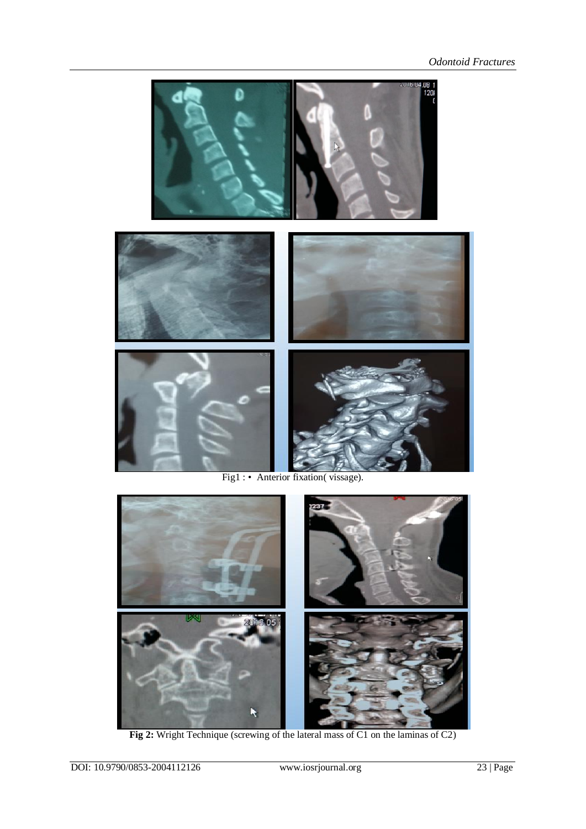

Fig1 : • Anterior fixation(vissage).



**Fig 2:** Wright Technique (screwing of the lateral mass of C1 on the laminas of C2)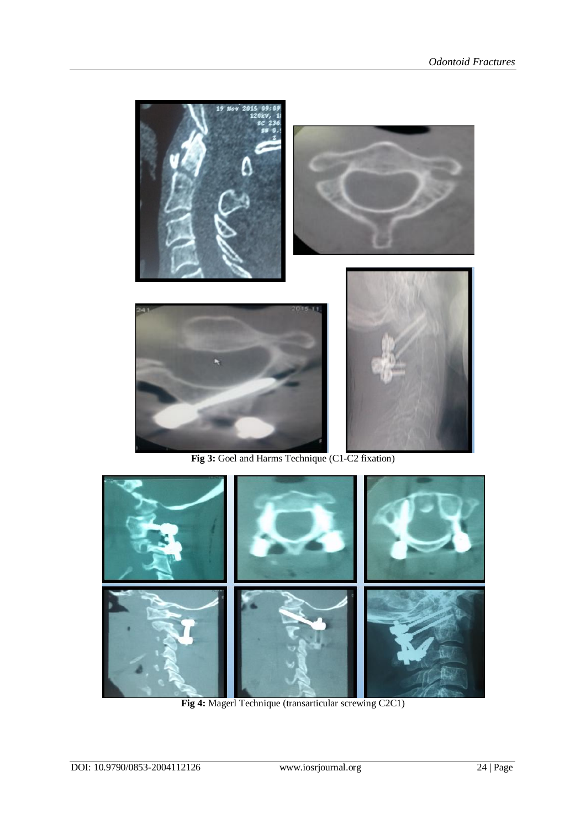



**Fig 4:** Magerl Technique (transarticular screwing C2C1)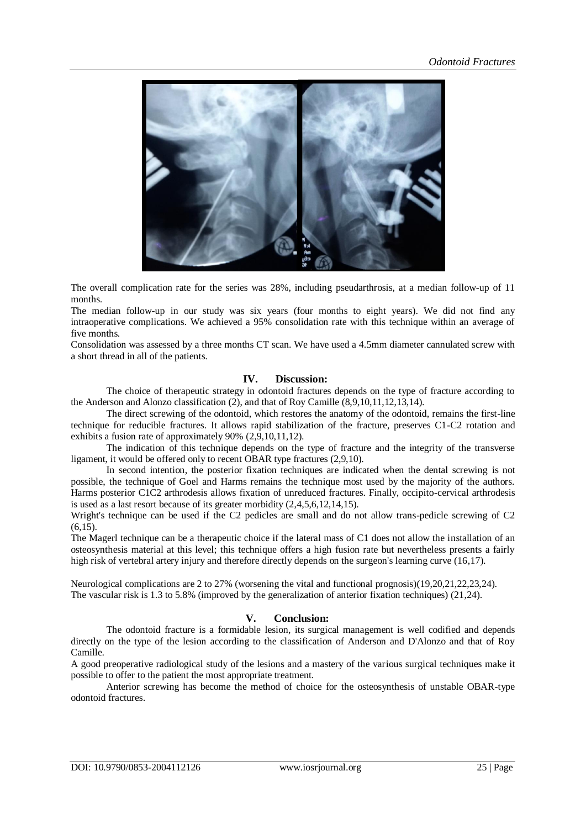

The overall complication rate for the series was 28%, including pseudarthrosis, at a median follow-up of 11 months.

The median follow-up in our study was six years (four months to eight years). We did not find any intraoperative complications. We achieved a 95% consolidation rate with this technique within an average of five months.

Consolidation was assessed by a three months CT scan. We have used a 4.5mm diameter cannulated screw with a short thread in all of the patients.

# **IV. Discussion:**

The choice of therapeutic strategy in odontoid fractures depends on the type of fracture according to the Anderson and Alonzo classification (2), and that of Roy Camille (8,9,10,11,12,13,14).

The direct screwing of the odontoid, which restores the anatomy of the odontoid, remains the first-line technique for reducible fractures. It allows rapid stabilization of the fracture, preserves C1-C2 rotation and exhibits a fusion rate of approximately 90% (2,9,10,11,12).

The indication of this technique depends on the type of fracture and the integrity of the transverse ligament, it would be offered only to recent OBAR type fractures (2,9,10).

In second intention, the posterior fixation techniques are indicated when the dental screwing is not possible, the technique of Goel and Harms remains the technique most used by the majority of the authors. Harms posterior C1C2 arthrodesis allows fixation of unreduced fractures. Finally, occipito-cervical arthrodesis is used as a last resort because of its greater morbidity (2,4,5,6,12,14,15).

Wright's technique can be used if the C2 pedicles are small and do not allow trans-pedicle screwing of C2 (6,15).

The Magerl technique can be a therapeutic choice if the lateral mass of C1 does not allow the installation of an osteosynthesis material at this level; this technique offers a high fusion rate but nevertheless presents a fairly high risk of vertebral artery injury and therefore directly depends on the surgeon's learning curve (16,17).

Neurological complications are 2 to 27% (worsening the vital and functional prognosis)(19,20,21,22,23,24). The vascular risk is 1.3 to 5.8% (improved by the generalization of anterior fixation techniques) (21,24).

# **V. Conclusion:**

The odontoid fracture is a formidable lesion, its surgical management is well codified and depends directly on the type of the lesion according to the classification of Anderson and D'Alonzo and that of Roy Camille.

A good preoperative radiological study of the lesions and a mastery of the various surgical techniques make it possible to offer to the patient the most appropriate treatment.

Anterior screwing has become the method of choice for the osteosynthesis of unstable OBAR-type odontoid fractures.